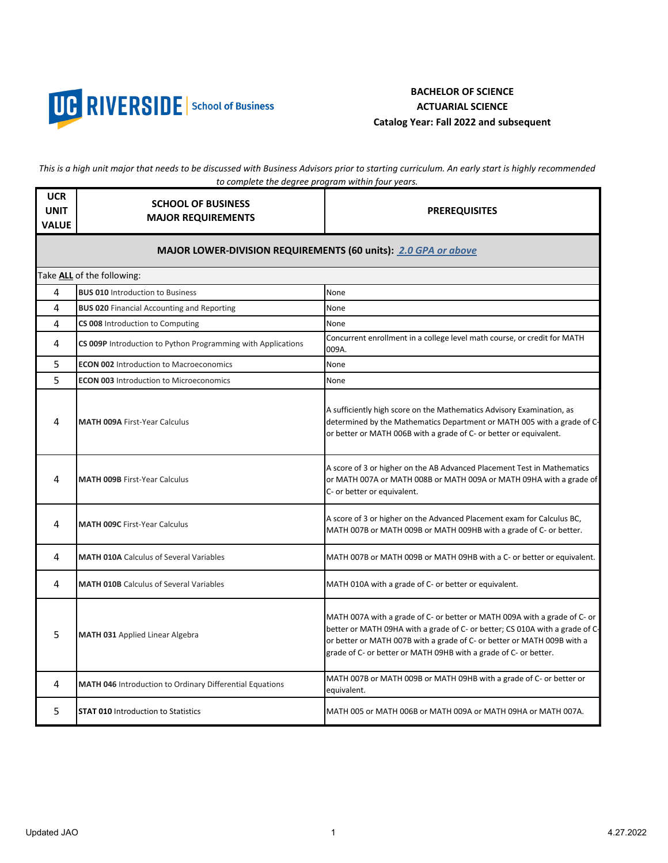

## **BACHELOR OF SCIENCE ACTUARIAL SCIENCE Catalog Year: Fall 2022 and subsequent**

*This is a high unit major that needs to be discussed with Business Advisors prior to starting curriculum. An early start is highly recommended to complete the degree program within four years.* 

| <b>UCR</b><br><b>UNIT</b><br><b>VALUE</b>                      | <b>SCHOOL OF BUSINESS</b><br><b>MAJOR REQUIREMENTS</b>          | <b>PREREQUISITES</b>                                                                                                                                                                                                                                                                                     |  |  |
|----------------------------------------------------------------|-----------------------------------------------------------------|----------------------------------------------------------------------------------------------------------------------------------------------------------------------------------------------------------------------------------------------------------------------------------------------------------|--|--|
| MAJOR LOWER-DIVISION REQUIREMENTS (60 units): 2.0 GPA or above |                                                                 |                                                                                                                                                                                                                                                                                                          |  |  |
|                                                                | Take ALL of the following:                                      |                                                                                                                                                                                                                                                                                                          |  |  |
| 4                                                              | <b>BUS 010 Introduction to Business</b>                         | None                                                                                                                                                                                                                                                                                                     |  |  |
| 4                                                              | <b>BUS 020 Financial Accounting and Reporting</b>               | None                                                                                                                                                                                                                                                                                                     |  |  |
| 4                                                              | CS 008 Introduction to Computing                                | None                                                                                                                                                                                                                                                                                                     |  |  |
| 4                                                              | CS 009P Introduction to Python Programming with Applications    | Concurrent enrollment in a college level math course, or credit for MATH<br>009A.                                                                                                                                                                                                                        |  |  |
| 5                                                              | <b>ECON 002 Introduction to Macroeconomics</b>                  | None                                                                                                                                                                                                                                                                                                     |  |  |
| 5                                                              | <b>ECON 003 Introduction to Microeconomics</b>                  | None                                                                                                                                                                                                                                                                                                     |  |  |
| 4                                                              | <b>MATH 009A First-Year Calculus</b>                            | A sufficiently high score on the Mathematics Advisory Examination, as<br>determined by the Mathematics Department or MATH 005 with a grade of C-<br>or better or MATH 006B with a grade of C- or better or equivalent.                                                                                   |  |  |
| 4                                                              | <b>MATH 009B First-Year Calculus</b>                            | A score of 3 or higher on the AB Advanced Placement Test in Mathematics<br>or MATH 007A or MATH 008B or MATH 009A or MATH 09HA with a grade of<br>C- or better or equivalent.                                                                                                                            |  |  |
| 4                                                              | <b>MATH 009C First-Year Calculus</b>                            | A score of 3 or higher on the Advanced Placement exam for Calculus BC,<br>MATH 007B or MATH 009B or MATH 009HB with a grade of C- or better.                                                                                                                                                             |  |  |
| 4                                                              | <b>MATH 010A Calculus of Several Variables</b>                  | MATH 007B or MATH 009B or MATH 09HB with a C- or better or equivalent.                                                                                                                                                                                                                                   |  |  |
| 4                                                              | <b>MATH 010B</b> Calculus of Several Variables                  | MATH 010A with a grade of C- or better or equivalent.                                                                                                                                                                                                                                                    |  |  |
| 5                                                              | <b>MATH 031 Applied Linear Algebra</b>                          | MATH 007A with a grade of C- or better or MATH 009A with a grade of C- or<br>better or MATH 09HA with a grade of C- or better; CS 010A with a grade of C-<br>or better or MATH 007B with a grade of C- or better or MATH 009B with a<br>grade of C- or better or MATH 09HB with a grade of C- or better. |  |  |
| 4                                                              | <b>MATH 046</b> Introduction to Ordinary Differential Equations | MATH 007B or MATH 009B or MATH 09HB with a grade of C- or better or<br>equivalent.                                                                                                                                                                                                                       |  |  |
| 5                                                              | <b>STAT 010 Introduction to Statistics</b>                      | MATH 005 or MATH 006B or MATH 009A or MATH 09HA or MATH 007A.                                                                                                                                                                                                                                            |  |  |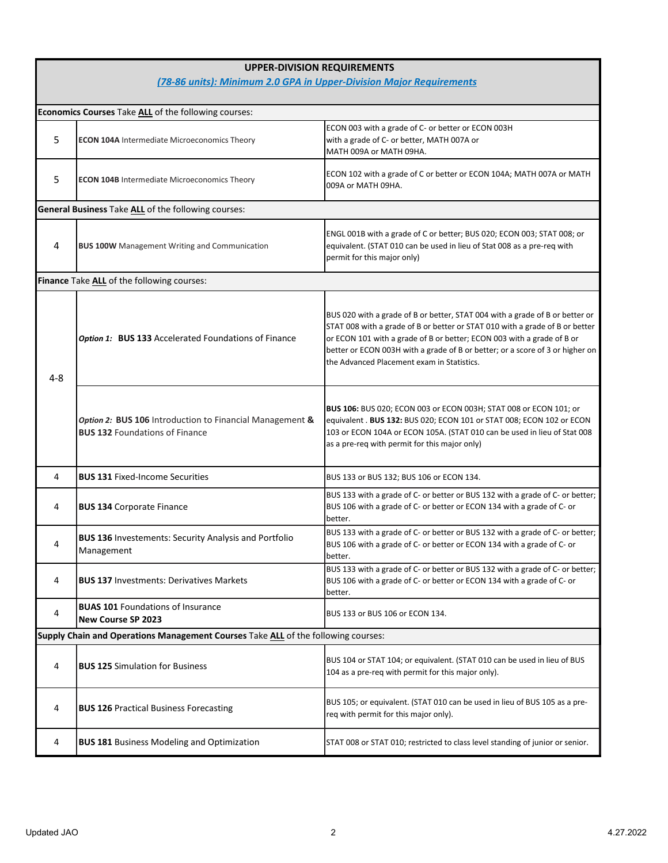| <b>UPPER-DIVISION REQUIREMENTS</b>                                  |                                                                                                   |                                                                                                                                                                                                                                                                                                                                                                       |  |  |
|---------------------------------------------------------------------|---------------------------------------------------------------------------------------------------|-----------------------------------------------------------------------------------------------------------------------------------------------------------------------------------------------------------------------------------------------------------------------------------------------------------------------------------------------------------------------|--|--|
| (78-86 units): Minimum 2.0 GPA in Upper-Division Major Requirements |                                                                                                   |                                                                                                                                                                                                                                                                                                                                                                       |  |  |
|                                                                     | Economics Courses Take ALL of the following courses:                                              |                                                                                                                                                                                                                                                                                                                                                                       |  |  |
| 5                                                                   | <b>ECON 104A</b> Intermediate Microeconomics Theory                                               | ECON 003 with a grade of C- or better or ECON 003H<br>with a grade of C- or better, MATH 007A or<br>MATH 009A or MATH 09HA.                                                                                                                                                                                                                                           |  |  |
| 5                                                                   | <b>ECON 104B Intermediate Microeconomics Theory</b>                                               | ECON 102 with a grade of C or better or ECON 104A; MATH 007A or MATH<br>009A or MATH 09HA.                                                                                                                                                                                                                                                                            |  |  |
|                                                                     | General Business Take ALL of the following courses:                                               |                                                                                                                                                                                                                                                                                                                                                                       |  |  |
| 4                                                                   | <b>BUS 100W</b> Management Writing and Communication                                              | ENGL 001B with a grade of C or better; BUS 020; ECON 003; STAT 008; or<br>equivalent. (STAT 010 can be used in lieu of Stat 008 as a pre-req with<br>permit for this major only)                                                                                                                                                                                      |  |  |
|                                                                     | Finance Take ALL of the following courses:                                                        |                                                                                                                                                                                                                                                                                                                                                                       |  |  |
| $4 - 8$                                                             | Option 1: BUS 133 Accelerated Foundations of Finance                                              | BUS 020 with a grade of B or better, STAT 004 with a grade of B or better or<br>STAT 008 with a grade of B or better or STAT 010 with a grade of B or better<br>or ECON 101 with a grade of B or better; ECON 003 with a grade of B or<br>better or ECON 003H with a grade of B or better; or a score of 3 or higher on<br>the Advanced Placement exam in Statistics. |  |  |
|                                                                     | Option 2: BUS 106 Introduction to Financial Management &<br><b>BUS 132 Foundations of Finance</b> | BUS 106: BUS 020; ECON 003 or ECON 003H; STAT 008 or ECON 101; or<br>equivalent . BUS 132: BUS 020; ECON 101 or STAT 008; ECON 102 or ECON<br>103 or ECON 104A or ECON 105A. (STAT 010 can be used in lieu of Stat 008<br>as a pre-req with permit for this major only)                                                                                               |  |  |
| 4                                                                   | <b>BUS 131 Fixed-Income Securities</b>                                                            | BUS 133 or BUS 132; BUS 106 or ECON 134.                                                                                                                                                                                                                                                                                                                              |  |  |
| 4                                                                   | <b>BUS 134 Corporate Finance</b>                                                                  | BUS 133 with a grade of C- or better or BUS 132 with a grade of C- or better;<br>BUS 106 with a grade of C- or better or ECON 134 with a grade of C- or<br>better.                                                                                                                                                                                                    |  |  |
| 4                                                                   | <b>BUS 136 Investements: Security Analysis and Portfolio</b><br>Management                        | BUS 133 with a grade of C- or better or BUS 132 with a grade of C- or better;<br>BUS 106 with a grade of C- or better or ECON 134 with a grade of C- or<br>better.                                                                                                                                                                                                    |  |  |
| 4                                                                   | <b>BUS 137 Investments: Derivatives Markets</b>                                                   | BUS 133 with a grade of C- or better or BUS 132 with a grade of C- or better;<br>BUS 106 with a grade of C- or better or ECON 134 with a grade of C- or<br>better.                                                                                                                                                                                                    |  |  |
| 4                                                                   | <b>BUAS 101 Foundations of Insurance</b><br>New Course SP 2023                                    | BUS 133 or BUS 106 or ECON 134.                                                                                                                                                                                                                                                                                                                                       |  |  |
|                                                                     | Supply Chain and Operations Management Courses Take ALL of the following courses:                 |                                                                                                                                                                                                                                                                                                                                                                       |  |  |
| 4                                                                   | <b>BUS 125 Simulation for Business</b>                                                            | BUS 104 or STAT 104; or equivalent. (STAT 010 can be used in lieu of BUS<br>104 as a pre-req with permit for this major only).                                                                                                                                                                                                                                        |  |  |
| 4                                                                   | <b>BUS 126 Practical Business Forecasting</b>                                                     | BUS 105; or equivalent. (STAT 010 can be used in lieu of BUS 105 as a pre-<br>req with permit for this major only).                                                                                                                                                                                                                                                   |  |  |
| 4                                                                   | <b>BUS 181 Business Modeling and Optimization</b>                                                 | STAT 008 or STAT 010; restricted to class level standing of junior or senior.                                                                                                                                                                                                                                                                                         |  |  |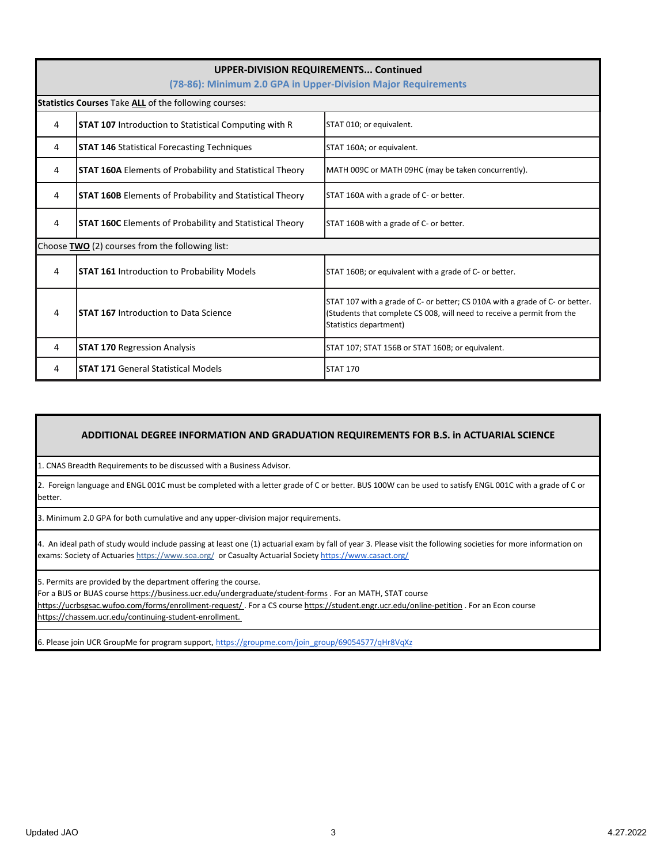| UPPER-DIVISION REQUIREMENTS Continued<br>(78-86): Minimum 2.0 GPA in Upper-Division Major Requirements |                                                                 |                                                                                                                                                                                  |  |  |
|--------------------------------------------------------------------------------------------------------|-----------------------------------------------------------------|----------------------------------------------------------------------------------------------------------------------------------------------------------------------------------|--|--|
| Statistics Courses Take ALL of the following courses:                                                  |                                                                 |                                                                                                                                                                                  |  |  |
| 4                                                                                                      | <b>STAT 107</b> Introduction to Statistical Computing with R    | STAT 010; or equivalent.                                                                                                                                                         |  |  |
| 4                                                                                                      | <b>STAT 146 Statistical Forecasting Techniques</b>              | STAT 160A; or equivalent.                                                                                                                                                        |  |  |
| 4                                                                                                      | <b>STAT 160A Elements of Probability and Statistical Theory</b> | MATH 009C or MATH 09HC (may be taken concurrently).                                                                                                                              |  |  |
| 4                                                                                                      | <b>STAT 160B</b> Elements of Probability and Statistical Theory | STAT 160A with a grade of C- or better.                                                                                                                                          |  |  |
| 4                                                                                                      | <b>STAT 160C</b> Elements of Probability and Statistical Theory | STAT 160B with a grade of C- or better.                                                                                                                                          |  |  |
| Choose TWO (2) courses from the following list:                                                        |                                                                 |                                                                                                                                                                                  |  |  |
| 4                                                                                                      | <b>STAT 161</b> Introduction to Probability Models              | STAT 160B; or equivalent with a grade of C- or better.                                                                                                                           |  |  |
| 4                                                                                                      | <b>STAT 167</b> Introduction to Data Science                    | STAT 107 with a grade of C- or better; CS 010A with a grade of C- or better.<br>(Students that complete CS 008, will need to receive a permit from the<br>Statistics department) |  |  |
| 4                                                                                                      | <b>STAT 170 Regression Analysis</b>                             | STAT 107; STAT 156B or STAT 160B; or equivalent.                                                                                                                                 |  |  |
| 4                                                                                                      | <b>STAT 171 General Statistical Models</b>                      | <b>STAT 170</b>                                                                                                                                                                  |  |  |

## **ADDITIONAL DEGREE INFORMATION AND GRADUATION REQUIREMENTS FOR B.S. in ACTUARIAL SCIENCE**

1. CNAS Breadth Requirements to be discussed with a Business Advisor.

2. Foreign language and ENGL 001C must be completed with a letter grade of C or better. BUS 100W can be used to satisfy ENGL 001C with a grade of C or better.

3. Minimum 2.0 GPA for both cumulative and any upper-division major requirements.

[4. An ideal](https://www.casact.org/) path of study would include passing at least one (1) actuarial exam by fall of year 3. Please visit the following societies for more information on [exams: Society of Actuaries https://www.soa.org/ or Casualty Actuarial Society h](https://www.casact.org/)ttps://www.casact.org/

5. Permits are provided by the department offering the course.

For a BUS or BUAS course https://business.ucr.edu/undergraduate/student-forms . For an MATH, STAT course

https://ucrbsgsac.wufoo.com/forms/enrollment-request/ . For a CS course https://student.engr.ucr.edu/online-petition . For an Econ course https://chassem.ucr.edu/continuing-student-enrollment.

[6. Please join UCR GroupMe for program support, h](https://groupme.com/join_group/69054577/qHr8VqXz.)ttps://groupme.com/join\_group/69054577/qHr8VqXz